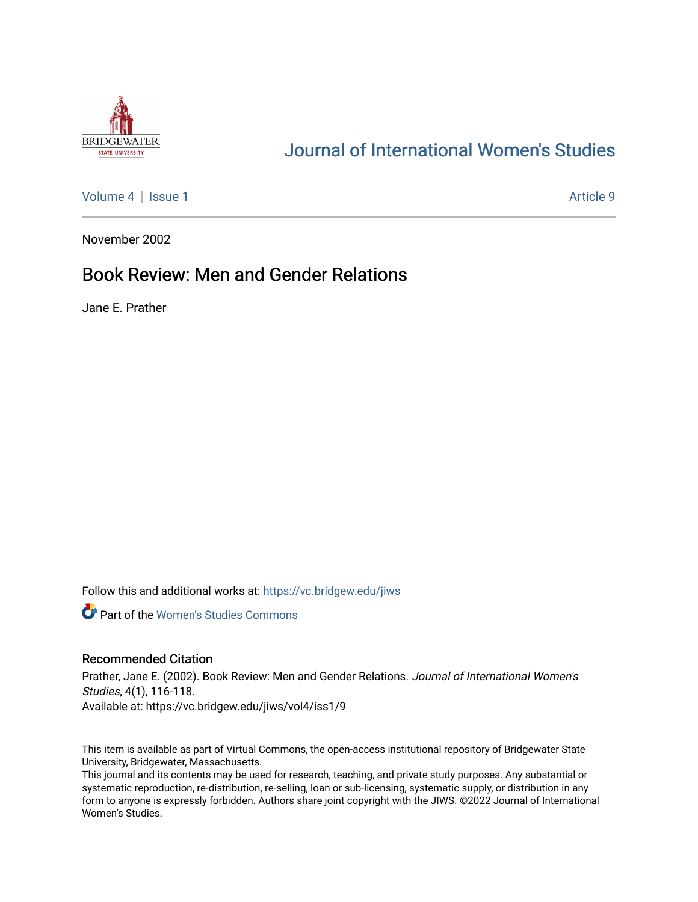

## [Journal of International Women's Studies](https://vc.bridgew.edu/jiws)

[Volume 4](https://vc.bridgew.edu/jiws/vol4) | [Issue 1](https://vc.bridgew.edu/jiws/vol4/iss1) Article 9

November 2002

## Book Review: Men and Gender Relations

Jane E. Prather

Follow this and additional works at: [https://vc.bridgew.edu/jiws](https://vc.bridgew.edu/jiws?utm_source=vc.bridgew.edu%2Fjiws%2Fvol4%2Fiss1%2F9&utm_medium=PDF&utm_campaign=PDFCoverPages)

**C** Part of the Women's Studies Commons

## Recommended Citation

Prather, Jane E. (2002). Book Review: Men and Gender Relations. Journal of International Women's Studies, 4(1), 116-118. Available at: https://vc.bridgew.edu/jiws/vol4/iss1/9

This item is available as part of Virtual Commons, the open-access institutional repository of Bridgewater State University, Bridgewater, Massachusetts.

This journal and its contents may be used for research, teaching, and private study purposes. Any substantial or systematic reproduction, re-distribution, re-selling, loan or sub-licensing, systematic supply, or distribution in any form to anyone is expressly forbidden. Authors share joint copyright with the JIWS. ©2022 Journal of International Women's Studies.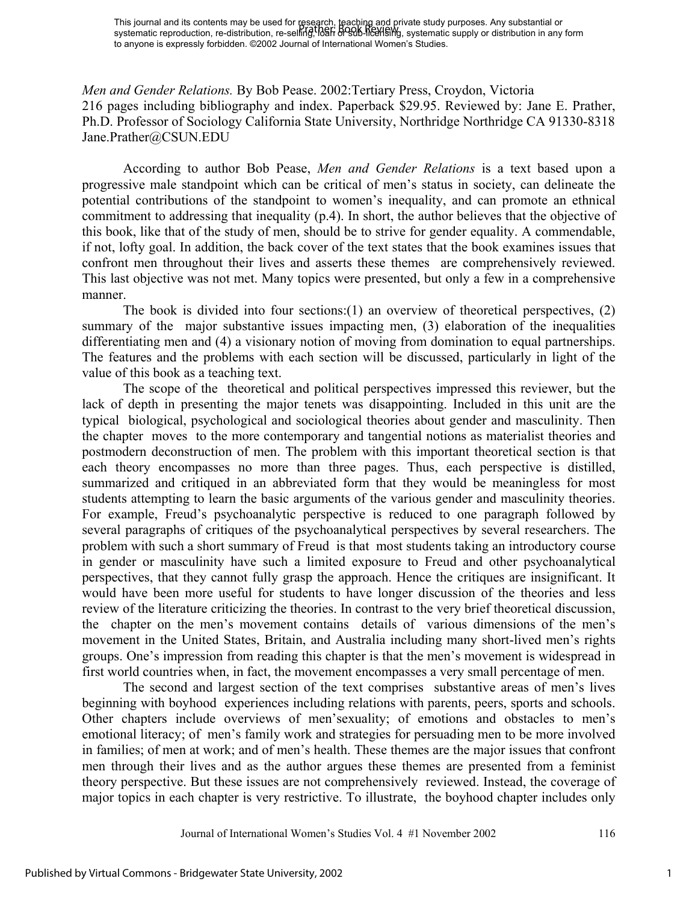*Men and Gender Relations.* By Bob Pease. 2002:Tertiary Press, Croydon, Victoria 216 pages including bibliography and index. Paperback \$29.95. Reviewed by: Jane E. Prather, Ph.D. Professor of Sociology California State University, Northridge Northridge CA 91330-8318 Jane.Prather@CSUN.EDU

According to author Bob Pease, *Men and Gender Relations* is a text based upon a progressive male standpoint which can be critical of men's status in society, can delineate the potential contributions of the standpoint to women's inequality, and can promote an ethnical commitment to addressing that inequality (p.4). In short, the author believes that the objective of this book, like that of the study of men, should be to strive for gender equality. A commendable, if not, lofty goal. In addition, the back cover of the text states that the book examines issues that confront men throughout their lives and asserts these themes are comprehensively reviewed. This last objective was not met. Many topics were presented, but only a few in a comprehensive manner.

The book is divided into four sections:  $(1)$  an overview of theoretical perspectives,  $(2)$ summary of the major substantive issues impacting men, (3) elaboration of the inequalities differentiating men and (4) a visionary notion of moving from domination to equal partnerships. The features and the problems with each section will be discussed, particularly in light of the value of this book as a teaching text.

The scope of the theoretical and political perspectives impressed this reviewer, but the lack of depth in presenting the major tenets was disappointing. Included in this unit are the typical biological, psychological and sociological theories about gender and masculinity. Then the chapter moves to the more contemporary and tangential notions as materialist theories and postmodern deconstruction of men. The problem with this important theoretical section is that each theory encompasses no more than three pages. Thus, each perspective is distilled, summarized and critiqued in an abbreviated form that they would be meaningless for most students attempting to learn the basic arguments of the various gender and masculinity theories. For example, Freud's psychoanalytic perspective is reduced to one paragraph followed by several paragraphs of critiques of the psychoanalytical perspectives by several researchers. The problem with such a short summary of Freud is that most students taking an introductory course in gender or masculinity have such a limited exposure to Freud and other psychoanalytical perspectives, that they cannot fully grasp the approach. Hence the critiques are insignificant. It would have been more useful for students to have longer discussion of the theories and less review of the literature criticizing the theories. In contrast to the very brief theoretical discussion, the chapter on the men's movement contains details of various dimensions of the men's movement in the United States, Britain, and Australia including many short-lived men's rights groups. One's impression from reading this chapter is that the men's movement is widespread in first world countries when, in fact, the movement encompasses a very small percentage of men.

The second and largest section of the text comprises substantive areas of men's lives beginning with boyhood experiences including relations with parents, peers, sports and schools. Other chapters include overviews of men'sexuality; of emotions and obstacles to men's emotional literacy; of men's family work and strategies for persuading men to be more involved in families; of men at work; and of men's health. These themes are the major issues that confront men through their lives and as the author argues these themes are presented from a feminist theory perspective. But these issues are not comprehensively reviewed. Instead, the coverage of major topics in each chapter is very restrictive. To illustrate, the boyhood chapter includes only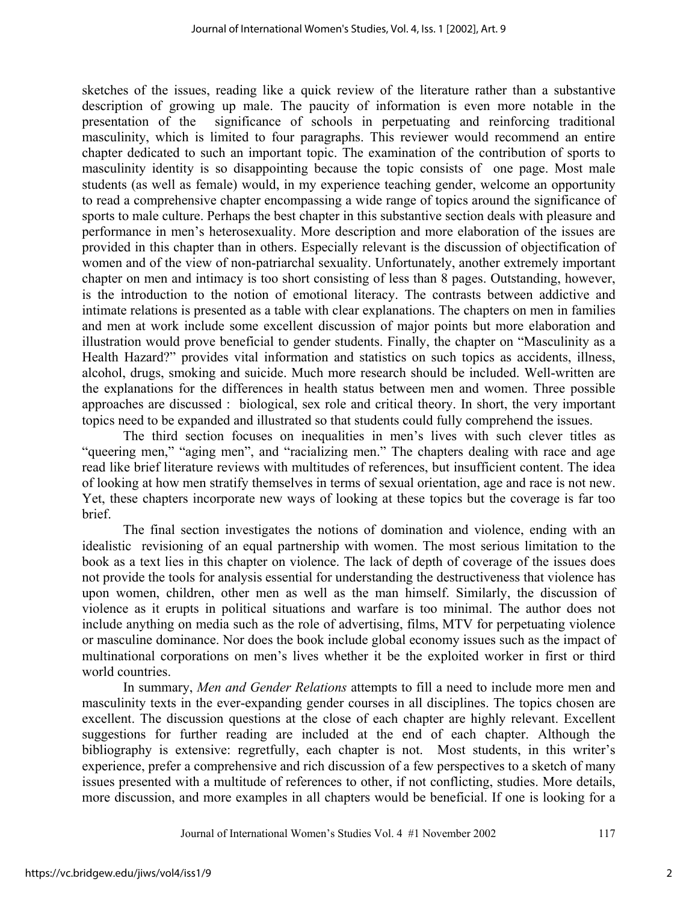sketches of the issues, reading like a quick review of the literature rather than a substantive description of growing up male. The paucity of information is even more notable in the presentation of the significance of schools in perpetuating and reinforcing traditional masculinity, which is limited to four paragraphs. This reviewer would recommend an entire chapter dedicated to such an important topic. The examination of the contribution of sports to masculinity identity is so disappointing because the topic consists of one page. Most male students (as well as female) would, in my experience teaching gender, welcome an opportunity to read a comprehensive chapter encompassing a wide range of topics around the significance of sports to male culture. Perhaps the best chapter in this substantive section deals with pleasure and performance in men's heterosexuality. More description and more elaboration of the issues are provided in this chapter than in others. Especially relevant is the discussion of objectification of women and of the view of non-patriarchal sexuality. Unfortunately, another extremely important chapter on men and intimacy is too short consisting of less than 8 pages. Outstanding, however, is the introduction to the notion of emotional literacy. The contrasts between addictive and intimate relations is presented as a table with clear explanations. The chapters on men in families and men at work include some excellent discussion of major points but more elaboration and illustration would prove beneficial to gender students. Finally, the chapter on "Masculinity as a Health Hazard?" provides vital information and statistics on such topics as accidents, illness, alcohol, drugs, smoking and suicide. Much more research should be included. Well-written are the explanations for the differences in health status between men and women. Three possible approaches are discussed : biological, sex role and critical theory. In short, the very important topics need to be expanded and illustrated so that students could fully comprehend the issues.

The third section focuses on inequalities in men's lives with such clever titles as "queering men," "aging men", and "racializing men." The chapters dealing with race and age read like brief literature reviews with multitudes of references, but insufficient content. The idea of looking at how men stratify themselves in terms of sexual orientation, age and race is not new. Yet, these chapters incorporate new ways of looking at these topics but the coverage is far too brief.

 The final section investigates the notions of domination and violence, ending with an idealistic revisioning of an equal partnership with women. The most serious limitation to the book as a text lies in this chapter on violence. The lack of depth of coverage of the issues does not provide the tools for analysis essential for understanding the destructiveness that violence has upon women, children, other men as well as the man himself. Similarly, the discussion of violence as it erupts in political situations and warfare is too minimal. The author does not include anything on media such as the role of advertising, films, MTV for perpetuating violence or masculine dominance. Nor does the book include global economy issues such as the impact of multinational corporations on men's lives whether it be the exploited worker in first or third world countries.

In summary, *Men and Gender Relations* attempts to fill a need to include more men and masculinity texts in the ever-expanding gender courses in all disciplines. The topics chosen are excellent. The discussion questions at the close of each chapter are highly relevant. Excellent suggestions for further reading are included at the end of each chapter. Although the bibliography is extensive: regretfully, each chapter is not. Most students, in this writer's experience, prefer a comprehensive and rich discussion of a few perspectives to a sketch of many issues presented with a multitude of references to other, if not conflicting, studies. More details, more discussion, and more examples in all chapters would be beneficial. If one is looking for a